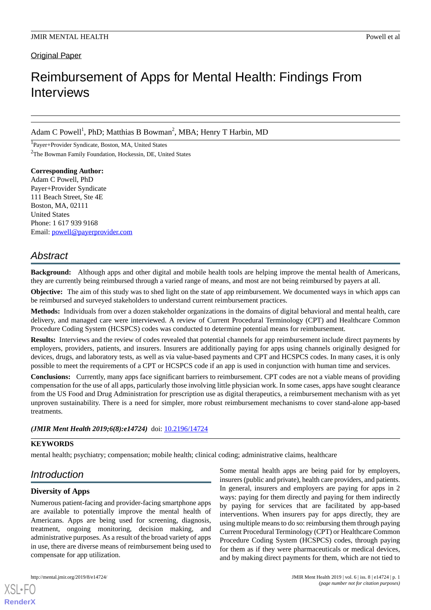Original Paper

# Reimbursement of Apps for Mental Health: Findings From Interviews

Adam C Powell<sup>1</sup>, PhD; Matthias B Bowman<sup>2</sup>, MBA; Henry T Harbin, MD

1 Payer+Provider Syndicate, Boston, MA, United States <sup>2</sup>The Bowman Family Foundation, Hockessin, DE, United States

**Corresponding Author:** Adam C Powell, PhD Payer+Provider Syndicate 111 Beach Street, Ste 4E Boston, MA, 02111 United States Phone: 1 617 939 9168 Email: [powell@payerprovider.com](mailto:powell@payerprovider.com)

# *Abstract*

**Background:** Although apps and other digital and mobile health tools are helping improve the mental health of Americans, they are currently being reimbursed through a varied range of means, and most are not being reimbursed by payers at all.

**Objective:** The aim of this study was to shed light on the state of app reimbursement. We documented ways in which apps can be reimbursed and surveyed stakeholders to understand current reimbursement practices.

**Methods:** Individuals from over a dozen stakeholder organizations in the domains of digital behavioral and mental health, care delivery, and managed care were interviewed. A review of Current Procedural Terminology (CPT) and Healthcare Common Procedure Coding System (HCSPCS) codes was conducted to determine potential means for reimbursement.

**Results:** Interviews and the review of codes revealed that potential channels for app reimbursement include direct payments by employers, providers, patients, and insurers. Insurers are additionally paying for apps using channels originally designed for devices, drugs, and laboratory tests, as well as via value-based payments and CPT and HCSPCS codes. In many cases, it is only possible to meet the requirements of a CPT or HCSPCS code if an app is used in conjunction with human time and services.

**Conclusions:** Currently, many apps face significant barriers to reimbursement. CPT codes are not a viable means of providing compensation for the use of all apps, particularly those involving little physician work. In some cases, apps have sought clearance from the US Food and Drug Administration for prescription use as digital therapeutics, a reimbursement mechanism with as yet unproven sustainability. There is a need for simpler, more robust reimbursement mechanisms to cover stand-alone app-based treatments.

(JMIR Ment Health 2019;6(8):e14724) doi: [10.2196/14724](http://dx.doi.org/10.2196/14724)

# **KEYWORDS**

mental health; psychiatry; compensation; mobile health; clinical coding; administrative claims, healthcare

# *Introduction*

# **Diversity of Apps**

Numerous patient-facing and provider-facing smartphone apps are available to potentially improve the mental health of Americans. Apps are being used for screening, diagnosis, treatment, ongoing monitoring, decision making, and administrative purposes. As a result of the broad variety of apps in use, there are diverse means of reimbursement being used to compensate for app utilization.

[XSL](http://www.w3.org/Style/XSL)•FO **[RenderX](http://www.renderx.com/)**

Some mental health apps are being paid for by employers, insurers (public and private), health care providers, and patients. In general, insurers and employers are paying for apps in 2 ways: paying for them directly and paying for them indirectly by paying for services that are facilitated by app-based interventions. When insurers pay for apps directly, they are using multiple means to do so: reimbursing them through paying Current Procedural Terminology (CPT) or Healthcare Common Procedure Coding System (HCSPCS) codes, through paying for them as if they were pharmaceuticals or medical devices, and by making direct payments for them, which are not tied to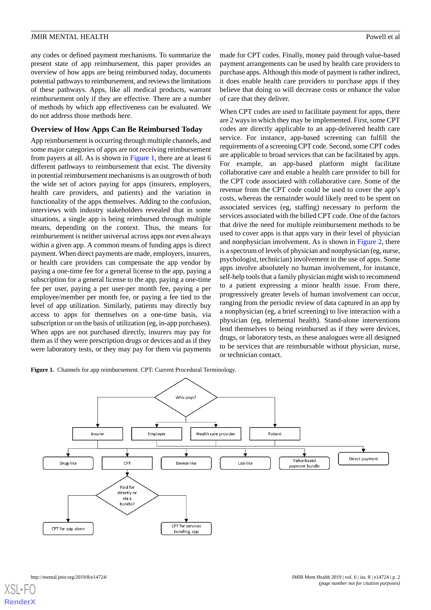any codes or defined payment mechanisms. To summarize the present state of app reimbursement, this paper provides an overview of how apps are being reimbursed today, documents potential pathways to reimbursement, and reviews the limitations of these pathways. Apps, like all medical products, warrant reimbursement only if they are effective. There are a number of methods by which app effectiveness can be evaluated. We do not address those methods here.

# **Overview of How Apps Can Be Reimbursed Today**

App reimbursement is occurring through multiple channels, and some major categories of apps are not receiving reimbursement from payers at all. As is shown in [Figure 1,](#page-1-0) there are at least 6 different pathways to reimbursement that exist. The diversity in potential reimbursement mechanisms is an outgrowth of both the wide set of actors paying for apps (insurers, employers, health care providers, and patients) and the variation in functionality of the apps themselves. Adding to the confusion, interviews with industry stakeholders revealed that in some situations, a single app is being reimbursed through multiple means, depending on the context. Thus, the means for reimbursement is neither universal across apps nor even always within a given app. A common means of funding apps is direct payment. When direct payments are made, employers, insurers, or health care providers can compensate the app vendor by paying a one-time fee for a general license to the app, paying a subscription for a general license to the app, paying a one-time fee per user, paying a per user-per month fee, paying a per employee/member per month fee, or paying a fee tied to the level of app utilization. Similarly, patients may directly buy access to apps for themselves on a one-time basis, via subscription or on the basis of utilization (eg, in-app purchases). When apps are not purchased directly, insurers may pay for them as if they were prescription drugs or devices and as if they were laboratory tests, or they may pay for them via payments made for CPT codes. Finally, money paid through value-based payment arrangements can be used by health care providers to purchase apps. Although this mode of payment is rather indirect, it does enable health care providers to purchase apps if they believe that doing so will decrease costs or enhance the value of care that they deliver.

When CPT codes are used to facilitate payment for apps, there are 2 ways in which they may be implemented. First, some CPT codes are directly applicable to an app-delivered health care service. For instance, app-based screening can fulfill the requirements of a screening CPT code. Second, some CPT codes are applicable to broad services that can be facilitated by apps. For example, an app-based platform might facilitate collaborative care and enable a health care provider to bill for the CPT code associated with collaborative care. Some of the revenue from the CPT code could be used to cover the app's costs, whereas the remainder would likely need to be spent on associated services (eg, staffing) necessary to perform the services associated with the billed CPT code. One of the factors that drive the need for multiple reimbursement methods to be used to cover apps is that apps vary in their level of physician and nonphysician involvement. As is shown in [Figure 2,](#page-2-0) there is a spectrum of levels of physician and nonphysician (eg, nurse, psychologist, technician) involvement in the use of apps. Some apps involve absolutely no human involvement, for instance, self-help tools that a family physician might wish to recommend to a patient expressing a minor health issue. From there, progressively greater levels of human involvement can occur, ranging from the periodic review of data captured in an app by a nonphysician (eg, a brief screening) to live interaction with a physician (eg, telemental health). Stand-alone interventions lend themselves to being reimbursed as if they were devices, drugs, or laboratory tests, as these analogues were all designed to be services that are reimbursable without physician, nurse, or technician contact.

<span id="page-1-0"></span>Figure 1. Channels for app reimbursement. CPT: Current Procedural Terminology.

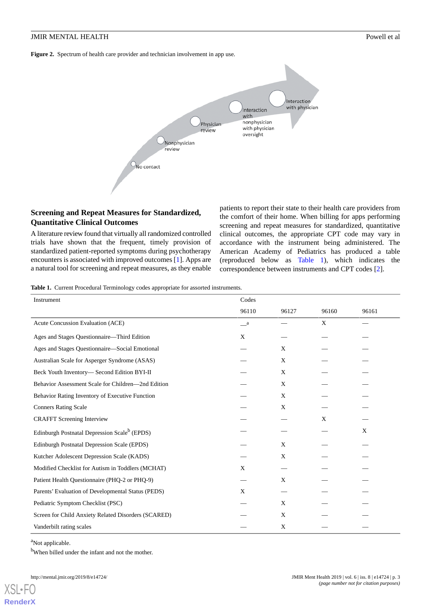<span id="page-2-0"></span>**Figure 2.** Spectrum of health care provider and technician involvement in app use.



# **Screening and Repeat Measures for Standardized, Quantitative Clinical Outcomes**

<span id="page-2-1"></span>A literature review found that virtually all randomized controlled trials have shown that the frequent, timely provision of standardized patient-reported symptoms during psychotherapy encounters is associated with improved outcomes [\[1](#page-8-0)]. Apps are a natural tool for screening and repeat measures, as they enable

patients to report their state to their health care providers from the comfort of their home. When billing for apps performing screening and repeat measures for standardized, quantitative clinical outcomes, the appropriate CPT code may vary in accordance with the instrument being administered. The American Academy of Pediatrics has produced a table (reproduced below as [Table 1\)](#page-2-1), which indicates the correspondence between instruments and CPT codes [\[2](#page-8-1)].

**Table 1.** Current Procedural Terminology codes appropriate for assorted instruments.

| Instrument                                               | Codes   |       |       |       |
|----------------------------------------------------------|---------|-------|-------|-------|
|                                                          | 96110   | 96127 | 96160 | 96161 |
| Acute Concussion Evaluation (ACE)                        | $\_\_a$ |       | X     |       |
| Ages and Stages Questionnaire-Third Edition              | X       |       |       |       |
| Ages and Stages Questionnaire—Social Emotional           |         | X     |       |       |
| Australian Scale for Asperger Syndrome (ASAS)            |         | X     |       |       |
| Beck Youth Inventory-Second Edition BYI-II               |         | X     |       |       |
| Behavior Assessment Scale for Children—2nd Edition       |         | X     |       |       |
| Behavior Rating Inventory of Executive Function          |         | X     |       |       |
| <b>Conners Rating Scale</b>                              |         | X     |       |       |
| <b>CRAFFT</b> Screening Interview                        |         |       | X     |       |
| Edinburgh Postnatal Depression Scale <sup>b</sup> (EPDS) |         |       |       | X     |
| Edinburgh Postnatal Depression Scale (EPDS)              |         | X     |       |       |
| Kutcher Adolescent Depression Scale (KADS)               |         | X     |       |       |
| Modified Checklist for Autism in Toddlers (MCHAT)        | X       |       |       |       |
| Patient Health Questionnaire (PHQ-2 or PHQ-9)            |         | X     |       |       |
| Parents' Evaluation of Developmental Status (PEDS)       | X       |       |       |       |
| Pediatric Symptom Checklist (PSC)                        |         | X     |       |       |
| Screen for Child Anxiety Related Disorders (SCARED)      |         | X     |       |       |
| Vanderbilt rating scales                                 |         | X     |       |       |

<sup>a</sup>Not applicable.

[XSL](http://www.w3.org/Style/XSL)•FO **[RenderX](http://www.renderx.com/)**

<sup>b</sup>When billed under the infant and not the mother.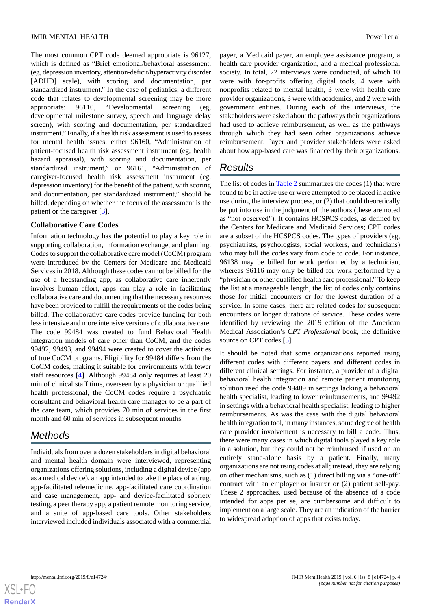The most common CPT code deemed appropriate is 96127, which is defined as "Brief emotional/behavioral assessment, (eg, depression inventory, attention-deficit/hyperactivity disorder [ADHD] scale), with scoring and documentation, per standardized instrument." In the case of pediatrics, a different code that relates to developmental screening may be more appropriate: 96110, "Developmental screening (eg, developmental milestone survey, speech and language delay screen), with scoring and documentation, per standardized instrument." Finally, if a health risk assessment is used to assess for mental health issues, either 96160, "Administration of patient-focused health risk assessment instrument (eg, health hazard appraisal), with scoring and documentation, per standardized instrument," or 96161, "Administration of caregiver-focused health risk assessment instrument (eg, depression inventory) for the benefit of the patient, with scoring and documentation, per standardized instrument," should be billed, depending on whether the focus of the assessment is the patient or the caregiver [\[3](#page-8-2)].

#### **Collaborative Care Codes**

Information technology has the potential to play a key role in supporting collaboration, information exchange, and planning. Codes to support the collaborative care model (CoCM) program were introduced by the Centers for Medicare and Medicaid Services in 2018. Although these codes cannot be billed for the use of a freestanding app, as collaborative care inherently involves human effort, apps can play a role in facilitating collaborative care and documenting that the necessary resources have been provided to fulfill the requirements of the codes being billed. The collaborative care codes provide funding for both less intensive and more intensive versions of collaborative care. The code 99484 was created to fund Behavioral Health Integration models of care other than CoCM, and the codes 99492, 99493, and 99494 were created to cover the activities of true CoCM programs. Eligibility for 99484 differs from the CoCM codes, making it suitable for environments with fewer staff resources [\[4](#page-8-3)]. Although 99484 only requires at least 20 min of clinical staff time, overseen by a physician or qualified health professional, the CoCM codes require a psychiatric consultant and behavioral health care manager to be a part of the care team, which provides 70 min of services in the first month and 60 min of services in subsequent months.

# *Methods*

Individuals from over a dozen stakeholders in digital behavioral and mental health domain were interviewed, representing organizations offering solutions, including a digital device (app as a medical device), an app intended to take the place of a drug, app-facilitated telemedicine, app-facilitated care coordination and case management, app- and device-facilitated sobriety testing, a peer therapy app, a patient remote monitoring service, and a suite of app-based care tools. Other stakeholders interviewed included individuals associated with a commercial

payer, a Medicaid payer, an employee assistance program, a health care provider organization, and a medical professional society. In total, 22 interviews were conducted, of which 10 were with for-profits offering digital tools, 4 were with nonprofits related to mental health, 3 were with health care provider organizations, 3 were with academics, and 2 were with government entities. During each of the interviews, the stakeholders were asked about the pathways their organizations had used to achieve reimbursement, as well as the pathways through which they had seen other organizations achieve reimbursement. Payer and provider stakeholders were asked about how app-based care was financed by their organizations.

# *Results*

The list of codes in [Table 2](#page-4-0) summarizes the codes (1) that were found to be in active use or were attempted to be placed in active use during the interview process, or (2) that could theoretically be put into use in the judgment of the authors (these are noted as "not observed"). It contains HCSPCS codes, as defined by the Centers for Medicare and Medicaid Services; CPT codes are a subset of the HCSPCS codes. The types of providers (eg, psychiatrists, psychologists, social workers, and technicians) who may bill the codes vary from code to code. For instance, 96138 may be billed for work performed by a technician, whereas 96116 may only be billed for work performed by a "physician or other qualified health care professional." To keep the list at a manageable length, the list of codes only contains those for initial encounters or for the lowest duration of a service. In some cases, there are related codes for subsequent encounters or longer durations of service. These codes were identified by reviewing the 2019 edition of the American Medical Association's *CPT Professional* book, the definitive source on CPT codes [\[5](#page-8-4)].

It should be noted that some organizations reported using different codes with different payers and different codes in different clinical settings. For instance, a provider of a digital behavioral health integration and remote patient monitoring solution used the code 99489 in settings lacking a behavioral health specialist, leading to lower reimbursements, and 99492 in settings with a behavioral health specialist, leading to higher reimbursements. As was the case with the digital behavioral health integration tool, in many instances, some degree of health care provider involvement is necessary to bill a code. Thus, there were many cases in which digital tools played a key role in a solution, but they could not be reimbursed if used on an entirely stand-alone basis by a patient. Finally, many organizations are not using codes at all; instead, they are relying on other mechanisms, such as (1) direct billing via a "one-off" contract with an employer or insurer or (2) patient self-pay. These 2 approaches, used because of the absence of a code intended for apps per se, are cumbersome and difficult to implement on a large scale. They are an indication of the barrier to widespread adoption of apps that exists today.

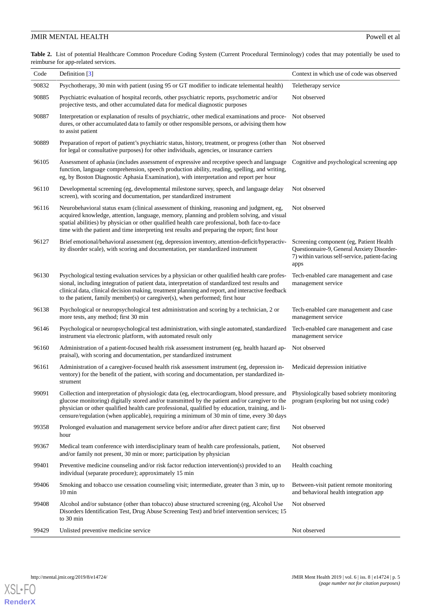<span id="page-4-0"></span>**Table 2.** List of potential Healthcare Common Procedure Coding System (Current Procedural Terminology) codes that may potentially be used to reimburse for app-related services.

| Code  | Definition $\lceil 3 \rceil$                                                                                                                                                                                                                                                                                                                                                                      | Context in which use of code was observed                                                                                                        |
|-------|---------------------------------------------------------------------------------------------------------------------------------------------------------------------------------------------------------------------------------------------------------------------------------------------------------------------------------------------------------------------------------------------------|--------------------------------------------------------------------------------------------------------------------------------------------------|
| 90832 | Psychotherapy, 30 min with patient (using 95 or GT modifier to indicate telemental health)                                                                                                                                                                                                                                                                                                        | Teletherapy service                                                                                                                              |
| 90885 | Psychiatric evaluation of hospital records, other psychiatric reports, psychometric and/or<br>projective tests, and other accumulated data for medical diagnostic purposes                                                                                                                                                                                                                        | Not observed                                                                                                                                     |
| 90887 | Interpretation or explanation of results of psychiatric, other medical examinations and proce-<br>dures, or other accumulated data to family or other responsible persons, or advising them how<br>to assist patient                                                                                                                                                                              | Not observed                                                                                                                                     |
| 90889 | Preparation of report of patient's psychiatric status, history, treatment, or progress (other than Not observed<br>for legal or consultative purposes) for other individuals, agencies, or insurance carriers                                                                                                                                                                                     |                                                                                                                                                  |
| 96105 | Assessment of aphasia (includes assessment of expressive and receptive speech and language<br>function, language comprehension, speech production ability, reading, spelling, and writing,<br>eg, by Boston Diagnostic Aphasia Examination), with interpretation and report per hour                                                                                                              | Cognitive and psychological screening app                                                                                                        |
| 96110 | Developmental screening (eg, developmental milestone survey, speech, and language delay<br>screen), with scoring and documentation, per standardized instrument                                                                                                                                                                                                                                   | Not observed                                                                                                                                     |
| 96116 | Neurobehavioral status exam (clinical assessment of thinking, reasoning and judgment, eg,<br>acquired knowledge, attention, language, memory, planning and problem solving, and visual<br>spatial abilities) by physician or other qualified health care professional, both face-to-face<br>time with the patient and time interpreting test results and preparing the report; first hour         | Not observed                                                                                                                                     |
| 96127 | Brief emotional/behavioral assessment (eg, depression inventory, attention-deficit/hyperactiv-<br>ity disorder scale), with scoring and documentation, per standardized instrument                                                                                                                                                                                                                | Screening component (eg, Patient Health)<br>Questionnaire-9, General Anxiety Disorder-<br>7) within various self-service, patient-facing<br>apps |
| 96130 | Psychological testing evaluation services by a physician or other qualified health care profes-<br>sional, including integration of patient data, interpretation of standardized test results and<br>clinical data, clinical decision making, treatment planning and report, and interactive feedback<br>to the patient, family member(s) or caregiver(s), when performed; first hour             | Tech-enabled care management and case<br>management service                                                                                      |
| 96138 | Psychological or neuropsychological test administration and scoring by a technician, 2 or<br>more tests, any method; first 30 min                                                                                                                                                                                                                                                                 | Tech-enabled care management and case<br>management service                                                                                      |
| 96146 | Psychological or neuropsychological test administration, with single automated, standardized<br>instrument via electronic platform, with automated result only                                                                                                                                                                                                                                    | Tech-enabled care management and case<br>management service                                                                                      |
| 96160 | Administration of a patient-focused health risk assessment instrument (eg, health hazard ap-<br>praisal), with scoring and documentation, per standardized instrument                                                                                                                                                                                                                             | Not observed                                                                                                                                     |
| 96161 | Administration of a caregiver-focused health risk assessment instrument (eg, depression in-<br>ventory) for the benefit of the patient, with scoring and documentation, per standardized in-<br>strument                                                                                                                                                                                          | Medicaid depression initiative                                                                                                                   |
| 99091 | Collection and interpretation of physiologic data (eg, electrocardiogram, blood pressure, and<br>glucose monitoring) digitally stored and/or transmitted by the patient and/or caregiver to the<br>physician or other qualified health care professional, qualified by education, training, and li-<br>censure/regulation (when applicable), requiring a minimum of 30 min of time, every 30 days | Physiologically based sobriety monitoring<br>program (exploring but not using code)                                                              |
| 99358 | Prolonged evaluation and management service before and/or after direct patient care; first<br>hour                                                                                                                                                                                                                                                                                                | Not observed                                                                                                                                     |
| 99367 | Medical team conference with interdisciplinary team of health care professionals, patient,<br>and/or family not present, 30 min or more; participation by physician                                                                                                                                                                                                                               | Not observed                                                                                                                                     |
| 99401 | Preventive medicine counseling and/or risk factor reduction intervention(s) provided to an<br>individual (separate procedure); approximately 15 min                                                                                                                                                                                                                                               | Health coaching                                                                                                                                  |
| 99406 | Smoking and tobacco use cessation counseling visit; intermediate, greater than 3 min, up to<br>$10 \text{ min}$                                                                                                                                                                                                                                                                                   | Between-visit patient remote monitoring<br>and behavioral health integration app                                                                 |
| 99408 | Alcohol and/or substance (other than tobacco) abuse structured screening (eg, Alcohol Use<br>Disorders Identification Test, Drug Abuse Screening Test) and brief intervention services; 15<br>to 30 min                                                                                                                                                                                           | Not observed                                                                                                                                     |
| 99429 | Unlisted preventive medicine service                                                                                                                                                                                                                                                                                                                                                              | Not observed                                                                                                                                     |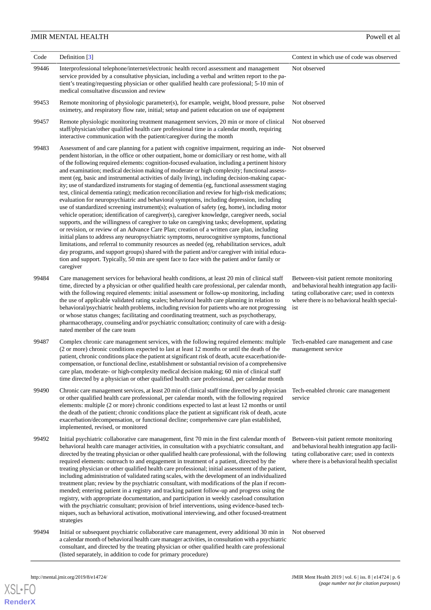| Code  | Definition $[3]$                                                                                                                                                                                                                                                                                                                                                                                                                                                                                                                                                                                                                                                                                                                                                                                                                                                                                                                                                                                                                                                                                                                                                                                                                                                                                                                                                                                                                                                                                                                                                                                                          | Context in which use of code was observed                                                                                                                                                      |
|-------|---------------------------------------------------------------------------------------------------------------------------------------------------------------------------------------------------------------------------------------------------------------------------------------------------------------------------------------------------------------------------------------------------------------------------------------------------------------------------------------------------------------------------------------------------------------------------------------------------------------------------------------------------------------------------------------------------------------------------------------------------------------------------------------------------------------------------------------------------------------------------------------------------------------------------------------------------------------------------------------------------------------------------------------------------------------------------------------------------------------------------------------------------------------------------------------------------------------------------------------------------------------------------------------------------------------------------------------------------------------------------------------------------------------------------------------------------------------------------------------------------------------------------------------------------------------------------------------------------------------------------|------------------------------------------------------------------------------------------------------------------------------------------------------------------------------------------------|
| 99446 | Interprofessional telephone/internet/electronic health record assessment and management<br>service provided by a consultative physician, including a verbal and written report to the pa-<br>tient's treating/requesting physician or other qualified health care professional; 5-10 min of<br>medical consultative discussion and review                                                                                                                                                                                                                                                                                                                                                                                                                                                                                                                                                                                                                                                                                                                                                                                                                                                                                                                                                                                                                                                                                                                                                                                                                                                                                 | Not observed                                                                                                                                                                                   |
| 99453 | Remote monitoring of physiologic parameter(s), for example, weight, blood pressure, pulse<br>oximetry, and respiratory flow rate, initial; setup and patient education on use of equipment                                                                                                                                                                                                                                                                                                                                                                                                                                                                                                                                                                                                                                                                                                                                                                                                                                                                                                                                                                                                                                                                                                                                                                                                                                                                                                                                                                                                                                | Not observed                                                                                                                                                                                   |
| 99457 | Remote physiologic monitoring treatment management services, 20 min or more of clinical<br>staff/physician/other qualified health care professional time in a calendar month, requiring<br>interactive communication with the patient/caregiver during the month                                                                                                                                                                                                                                                                                                                                                                                                                                                                                                                                                                                                                                                                                                                                                                                                                                                                                                                                                                                                                                                                                                                                                                                                                                                                                                                                                          | Not observed                                                                                                                                                                                   |
| 99483 | Assessment of and care planning for a patient with cognitive impairment, requiring an inde-<br>pendent historian, in the office or other outpatient, home or domiciliary or rest home, with all<br>of the following required elements: cognition-focused evaluation, including a pertinent history<br>and examination; medical decision making of moderate or high complexity; functional assess-<br>ment (eg, basic and instrumental activities of daily living), including decision-making capac-<br>ity; use of standardized instruments for staging of dementia (eg, functional assessment staging<br>test, clinical dementia rating); medication reconciliation and review for high-risk medications;<br>evaluation for neuropsychiatric and behavioral symptoms, including depression, including<br>use of standardized screening instrument(s); evaluation of safety (eg, home), including motor<br>vehicle operation; identification of caregiver(s), caregiver knowledge, caregiver needs, social<br>supports, and the willingness of caregiver to take on caregiving tasks; development, updating<br>or revision, or review of an Advance Care Plan; creation of a written care plan, including<br>initial plans to address any neuropsychiatric symptoms, neurocognitive symptoms, functional<br>limitations, and referral to community resources as needed (eg, rehabilitation services, adult<br>day programs, and support groups) shared with the patient and/or caregiver with initial educa-<br>tion and support. Typically, 50 min are spent face to face with the patient and/or family or<br>caregiver | Not observed                                                                                                                                                                                   |
| 99484 | Care management services for behavioral health conditions, at least 20 min of clinical staff<br>time, directed by a physician or other qualified health care professional, per calendar month,<br>with the following required elements: initial assessment or follow-up monitoring, including<br>the use of applicable validated rating scales; behavioral health care planning in relation to<br>behavioral/psychiatric health problems, including revision for patients who are not progressing<br>or whose status changes; facilitating and coordinating treatment, such as psychotherapy,<br>pharmacotherapy, counseling and/or psychiatric consultation; continuity of care with a desig-<br>nated member of the care team                                                                                                                                                                                                                                                                                                                                                                                                                                                                                                                                                                                                                                                                                                                                                                                                                                                                                           | Between-visit patient remote monitoring<br>and behavioral health integration app facili-<br>tating collaborative care; used in contexts<br>where there is no behavioral health special-<br>ist |
| 99487 | Complex chronic care management services, with the following required elements: multiple<br>(2 or more) chronic conditions expected to last at least 12 months or until the death of the<br>patient, chronic conditions place the patient at significant risk of death, acute exacerbation/de-<br>compensation, or functional decline, establishment or substantial revision of a comprehensive<br>care plan, moderate- or high-complexity medical decision making; 60 min of clinical staff<br>time directed by a physician or other qualified health care professional, per calendar month                                                                                                                                                                                                                                                                                                                                                                                                                                                                                                                                                                                                                                                                                                                                                                                                                                                                                                                                                                                                                              | Tech-enabled care management and case<br>management service                                                                                                                                    |
| 99490 | Chronic care management services, at least 20 min of clinical staff time directed by a physician<br>or other qualified health care professional, per calendar month, with the following required<br>elements: multiple (2 or more) chronic conditions expected to last at least 12 months or until<br>the death of the patient; chronic conditions place the patient at significant risk of death, acute<br>exacerbation/decompensation, or functional decline; comprehensive care plan established,<br>implemented, revised, or monitored                                                                                                                                                                                                                                                                                                                                                                                                                                                                                                                                                                                                                                                                                                                                                                                                                                                                                                                                                                                                                                                                                | Tech-enabled chronic care management<br>service                                                                                                                                                |
| 99492 | Initial psychiatric collaborative care management, first 70 min in the first calendar month of<br>behavioral health care manager activities, in consultation with a psychiatric consultant, and<br>directed by the treating physician or other qualified health care professional, with the following<br>required elements: outreach to and engagement in treatment of a patient, directed by the<br>treating physician or other qualified health care professional; initial assessment of the patient,<br>including administration of validated rating scales, with the development of an individualized<br>treatment plan; review by the psychiatric consultant, with modifications of the plan if recom-<br>mended; entering patient in a registry and tracking patient follow-up and progress using the<br>registry, with appropriate documentation, and participation in weekly caseload consultation<br>with the psychiatric consultant; provision of brief interventions, using evidence-based tech-<br>niques, such as behavioral activation, motivational interviewing, and other focused-treatment<br>strategies                                                                                                                                                                                                                                                                                                                                                                                                                                                                                                | Between-visit patient remote monitoring<br>and behavioral health integration app facili-<br>tating collaborative care; used in contexts<br>where there is a behavioral health specialist       |
| 99494 | Initial or subsequent psychiatric collaborative care management, every additional 30 min in<br>a calendar month of behavioral health care manager activities, in consultation with a psychiatric<br>consultant, and directed by the treating physician or other qualified health care professional<br>(listed separately, in addition to code for primary procedure)                                                                                                                                                                                                                                                                                                                                                                                                                                                                                                                                                                                                                                                                                                                                                                                                                                                                                                                                                                                                                                                                                                                                                                                                                                                      | Not observed                                                                                                                                                                                   |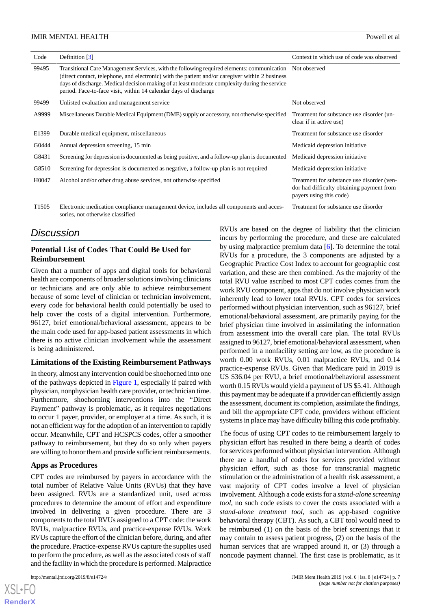| Code              | Definition $\lceil 3 \rceil$                                                                                                                                                                                                                                                                                                                                                    | Context in which use of code was observed                                                                          |
|-------------------|---------------------------------------------------------------------------------------------------------------------------------------------------------------------------------------------------------------------------------------------------------------------------------------------------------------------------------------------------------------------------------|--------------------------------------------------------------------------------------------------------------------|
| 99495             | Transitional Care Management Services, with the following required elements: communication Not observed<br>(direct contact, telephone, and electronic) with the patient and/or caregiver within 2 business<br>days of discharge. Medical decision making of at least moderate complexity during the service<br>period. Face-to-face visit, within 14 calendar days of discharge |                                                                                                                    |
| 99499             | Unlisted evaluation and management service                                                                                                                                                                                                                                                                                                                                      | Not observed                                                                                                       |
| A9999             | Miscellaneous Durable Medical Equipment (DME) supply or accessory, not otherwise specified                                                                                                                                                                                                                                                                                      | Treatment for substance use disorder (un-<br>clear if in active use)                                               |
| E1399             | Durable medical equipment, miscellaneous                                                                                                                                                                                                                                                                                                                                        | Treatment for substance use disorder                                                                               |
| G0444             | Annual depression screening, 15 min                                                                                                                                                                                                                                                                                                                                             | Medicaid depression initiative                                                                                     |
| G8431             | Screening for depression is documented as being positive, and a follow-up plan is documented                                                                                                                                                                                                                                                                                    | Medicaid depression initiative                                                                                     |
| G8510             | Screening for depression is documented as negative, a follow-up plan is not required                                                                                                                                                                                                                                                                                            | Medicaid depression initiative                                                                                     |
| H0047             | Alcohol and/or other drug abuse services, not otherwise specified                                                                                                                                                                                                                                                                                                               | Treatment for substance use disorder (ven-<br>dor had difficulty obtaining payment from<br>payers using this code) |
| T <sub>1505</sub> | Electronic medication compliance management device, includes all components and acces-<br>sories, not otherwise classified                                                                                                                                                                                                                                                      | Treatment for substance use disorder                                                                               |

# *Discussion*

# **Potential List of Codes That Could Be Used for Reimbursement**

Given that a number of apps and digital tools for behavioral health are components of broader solutions involving clinicians or technicians and are only able to achieve reimbursement because of some level of clinician or technician involvement, every code for behavioral health could potentially be used to help cover the costs of a digital intervention. Furthermore, 96127, brief emotional/behavioral assessment, appears to be the main code used for app-based patient assessments in which there is no active clinician involvement while the assessment is being administered.

# **Limitations of the Existing Reimbursement Pathways**

In theory, almost any intervention could be shoehorned into one of the pathways depicted in [Figure 1,](#page-1-0) especially if paired with physician, nonphysician health care provider, or technician time. Furthermore, shoehorning interventions into the "Direct Payment" pathway is problematic, as it requires negotiations to occur 1 payer, provider, or employer at a time. As such, it is not an efficient way for the adoption of an intervention to rapidly occur. Meanwhile, CPT and HCSPCS codes, offer a smoother pathway to reimbursement, but they do so only when payers are willing to honor them and provide sufficient reimbursements.

# **Apps as Procedures**

CPT codes are reimbursed by payers in accordance with the total number of Relative Value Units (RVUs) that they have been assigned. RVUs are a standardized unit, used across procedures to determine the amount of effort and expenditure involved in delivering a given procedure. There are 3 components to the total RVUs assigned to a CPT code: the work RVUs, malpractice RVUs, and practice-expense RVUs. Work RVUs capture the effort of the clinician before, during, and after the procedure. Practice-expense RVUs capture the supplies used to perform the procedure, as well as the associated costs of staff and the facility in which the procedure is performed. Malpractice

 $XS$  • FC **[RenderX](http://www.renderx.com/)** RVUs are based on the degree of liability that the clinician incurs by performing the procedure, and these are calculated by using malpractice premium data [\[6](#page-8-5)]. To determine the total RVUs for a procedure, the 3 components are adjusted by a Geographic Practice Cost Index to account for geographic cost variation, and these are then combined. As the majority of the total RVU value ascribed to most CPT codes comes from the work RVU component, apps that do not involve physician work inherently lead to lower total RVUs. CPT codes for services performed without physician intervention, such as 96127, brief emotional/behavioral assessment, are primarily paying for the brief physician time involved in assimilating the information from assessment into the overall care plan. The total RVUs assigned to 96127, brief emotional/behavioral assessment, when performed in a nonfacility setting are low, as the procedure is worth 0.00 work RVUs, 0.01 malpractice RVUs, and 0.14 practice-expense RVUs. Given that Medicare paid in 2019 is US \$36.04 per RVU, a brief emotional/behavioral assessment worth 0.15 RVUs would yield a payment of US \$5.41. Although this payment may be adequate if a provider can efficiently assign the assessment, document its completion, assimilate the findings, and bill the appropriate CPT code, providers without efficient systems in place may have difficulty billing this code profitably.

The focus of using CPT codes to tie reimbursement largely to physician effort has resulted in there being a dearth of codes for services performed without physician intervention. Although there are a handful of codes for services provided without physician effort, such as those for transcranial magnetic stimulation or the administration of a health risk assessment, a vast majority of CPT codes involve a level of physician involvement. Although a code exists for a *stand-alone screening tool*, no such code exists to cover the costs associated with a *stand-alone treatment tool*, such as app-based cognitive behavioral therapy (CBT). As such, a CBT tool would need to be reimbursed (1) on the basis of the brief screenings that it may contain to assess patient progress, (2) on the basis of the human services that are wrapped around it, or (3) through a noncode payment channel. The first case is problematic, as it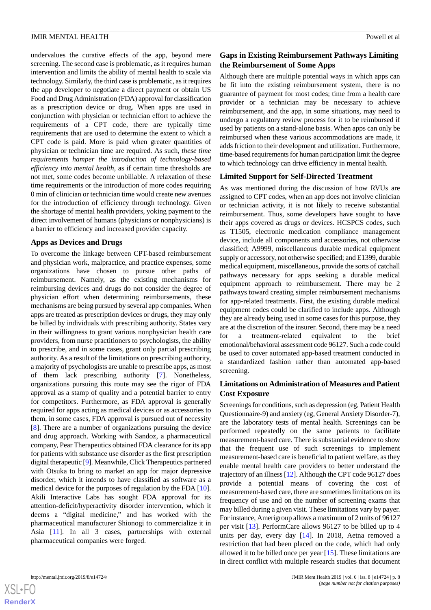undervalues the curative effects of the app, beyond mere screening. The second case is problematic, as it requires human intervention and limits the ability of mental health to scale via technology. Similarly, the third case is problematic, as it requires the app developer to negotiate a direct payment or obtain US Food and Drug Administration (FDA) approval for classification as a prescription device or drug. When apps are used in conjunction with physician or technician effort to achieve the requirements of a CPT code, there are typically time requirements that are used to determine the extent to which a CPT code is paid. More is paid when greater quantities of physician or technician time are required. As such, *these time requirements hamper the introduction of technology-based efficiency into mental health*, as if certain time thresholds are not met, some codes become unbillable. A relaxation of these time requirements or the introduction of more codes requiring 0 min of clinician or technician time would create new avenues for the introduction of efficiency through technology. Given the shortage of mental health providers, yoking payment to the direct involvement of humans (physicians or nonphysicians) is a barrier to efficiency and increased provider capacity.

# **Apps as Devices and Drugs**

To overcome the linkage between CPT-based reimbursement and physician work, malpractice, and practice expenses, some organizations have chosen to pursue other paths of reimbursement. Namely, as the existing mechanisms for reimbursing devices and drugs do not consider the degree of physician effort when determining reimbursements, these mechanisms are being pursued by several app companies. When apps are treated as prescription devices or drugs, they may only be billed by individuals with prescribing authority. States vary in their willingness to grant various nonphysician health care providers, from nurse practitioners to psychologists, the ability to prescribe, and in some cases, grant only partial prescribing authority. As a result of the limitations on prescribing authority, a majority of psychologists are unable to prescribe apps, as most of them lack prescribing authority [[7\]](#page-8-6). Nonetheless, organizations pursuing this route may see the rigor of FDA approval as a stamp of quality and a potential barrier to entry for competitors. Furthermore, as FDA approval is generally required for apps acting as medical devices or as accessories to them, in some cases, FDA approval is pursued out of necessity [[8\]](#page-8-7). There are a number of organizations pursuing the device and drug approach. Working with Sandoz, a pharmaceutical company, Pear Therapeutics obtained FDA clearance for its app for patients with substance use disorder as the first prescription digital therapeutic [\[9\]](#page-8-8). Meanwhile, Click Therapeutics partnered with Otsuka to bring to market an app for major depressive disorder, which it intends to have classified as software as a medical device for the purposes of regulation by the FDA [[10\]](#page-9-0). Akili Interactive Labs has sought FDA approval for its attention-deficit/hyperactivity disorder intervention, which it deems a "digital medicine," and has worked with the pharmaceutical manufacturer Shionogi to commercialize it in Asia [\[11](#page-9-1)]. In all 3 cases, partnerships with external pharmaceutical companies were forged.

# **Gaps in Existing Reimbursement Pathways Limiting the Reimbursement of Some Apps**

Although there are multiple potential ways in which apps can be fit into the existing reimbursement system, there is no guarantee of payment for most codes; time from a health care provider or a technician may be necessary to achieve reimbursement, and the app, in some situations, may need to undergo a regulatory review process for it to be reimbursed if used by patients on a stand-alone basis. When apps can only be reimbursed when these various accommodations are made, it adds friction to their development and utilization. Furthermore, time-based requirements for human participation limit the degree to which technology can drive efficiency in mental health.

# **Limited Support for Self-Directed Treatment**

As was mentioned during the discussion of how RVUs are assigned to CPT codes, when an app does not involve clinician or technician activity, it is not likely to receive substantial reimbursement. Thus, some developers have sought to have their apps covered as drugs or devices. HCSPCS codes, such as T1505, electronic medication compliance management device, include all components and accessories, not otherwise classified; A9999, miscellaneous durable medical equipment supply or accessory, not otherwise specified; and E1399, durable medical equipment, miscellaneous, provide the sorts of catchall pathways necessary for apps seeking a durable medical equipment approach to reimbursement. There may be 2 pathways toward creating simpler reimbursement mechanisms for app-related treatments. First, the existing durable medical equipment codes could be clarified to include apps. Although they are already being used in some cases for this purpose, they are at the discretion of the insurer. Second, there may be a need for a treatment-related equivalent to the brief emotional/behavioral assessment code 96127. Such a code could be used to cover automated app-based treatment conducted in a standardized fashion rather than automated app-based screening.

# **Limitations on Administration of Measures and Patient Cost Exposure**

Screenings for conditions, such as depression (eg, Patient Health Questionnaire-9) and anxiety (eg, General Anxiety Disorder-7), are the laboratory tests of mental health. Screenings can be performed repeatedly on the same patients to facilitate measurement-based care. There is substantial evidence to show that the frequent use of such screenings to implement measurement-based care is beneficial to patient welfare, as they enable mental health care providers to better understand the trajectory of an illness [[12\]](#page-9-2). Although the CPT code 96127 does provide a potential means of covering the cost of measurement-based care, there are sometimes limitations on its frequency of use and on the number of screening exams that may billed during a given visit. These limitations vary by payer. For instance, Amerigroup allows a maximum of 2 units of 96127 per visit [\[13](#page-9-3)]. PerformCare allows 96127 to be billed up to 4 units per day, every day [\[14](#page-9-4)]. In 2018, Aetna removed a restriction that had been placed on the code, which had only allowed it to be billed once per year [\[15](#page-9-5)]. These limitations are in direct conflict with multiple research studies that document

 $XS$ -FO **[RenderX](http://www.renderx.com/)**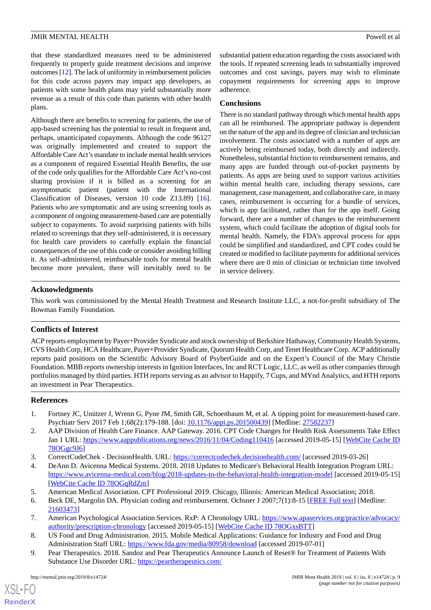that these standardized measures need to be administered frequently to properly guide treatment decisions and improve outcomes [\[12\]](#page-9-2). The lack of uniformity in reimbursement policies for this code across payers may impact app developers, as patients with some health plans may yield substantially more revenue as a result of this code than patients with other health plans.

Although there are benefits to screening for patients, the use of app-based screening has the potential to result in frequent and, perhaps, unanticipated copayments. Although the code 96127 was originally implemented and created to support the Affordable Care Act's mandate to include mental health services as a component of required Essential Health Benefits, the use of the code only qualifies for the Affordable Care Act's no-cost sharing provision if it is billed as a screening for an asymptomatic patient (patient with the International Classification of Diseases, version 10 code Z13.89) [[16\]](#page-9-6). Patients who are symptomatic and are using screening tools as a component of ongoing measurement-based care are potentially subject to copayments. To avoid surprising patients with bills related to screenings that they self-administered, it is necessary for health care providers to carefully explain the financial consequences of the use of this code or consider avoiding billing it. As self-administered, reimbursable tools for mental health become more prevalent, there will inevitably need to be substantial patient education regarding the costs associated with the tools. If repeated screening leads to substantially improved outcomes and cost savings, payers may wish to eliminate copayment requirements for screening apps to improve adherence.

### **Conclusions**

There is no standard pathway through which mental health apps can all be reimbursed. The appropriate pathway is dependent on the nature of the app and its degree of clinician and technician involvement. The costs associated with a number of apps are actively being reimbursed today, both directly and indirectly. Nonetheless, substantial friction to reimbursement remains, and many apps are funded through out-of-pocket payments by patients. As apps are being used to support various activities within mental health care, including therapy sessions, care management, case management, and collaborative care, in many cases, reimbursement is occurring for a bundle of services, which is app facilitated, rather than for the app itself. Going forward, there are a number of changes to the reimbursement system, which could facilitate the adoption of digital tools for mental health. Namely, the FDA's approval process for apps could be simplified and standardized, and CPT codes could be created or modified to facilitate payments for additional services where there are 0 min of clinician or technician time involved in service delivery.

# **Acknowledgments**

This work was commissioned by the Mental Health Treatment and Research Institute LLC, a not-for-profit subsidiary of The Bowman Family Foundation.

# **Conflicts of Interest**

ACP reports employment by Payer+Provider Syndicate and stock ownership of Berkshire Hathaway, Community Health Systems, CVS Health Corp, HCA Healthcare, Payer+Provider Syndicate, Quorum Health Corp, and Tenet Healthcare Corp. ACP additionally reports paid positions on the Scientific Advisory Board of PsyberGuide and on the Expert's Council of the Mary Christie Foundation. MBB reports ownership interests in Ignition Interfaces, Inc and RCT Logic, LLC, as well as other companies through portfolios managed by third parties. HTH reports serving as an advisor to Happify, 7 Cups, and MYnd Analytics, and HTH reports an investment in Pear Therapeutics.

# <span id="page-8-1"></span><span id="page-8-0"></span>**References**

- <span id="page-8-3"></span><span id="page-8-2"></span>1. Fortney JC, Unützer J, Wrenn G, Pyne JM, Smith GR, Schoenbaum M, et al. A tipping point for measurement-based care. Psychiatr Serv 2017 Feb 1;68(2):179-188. [doi: [10.1176/appi.ps.201500439](http://dx.doi.org/10.1176/appi.ps.201500439)] [Medline: [27582237](http://www.ncbi.nlm.nih.gov/entrez/query.fcgi?cmd=Retrieve&db=PubMed&list_uids=27582237&dopt=Abstract)]
- <span id="page-8-4"></span>2. AAP Division of Health Care Finance. AAP Gateway. 2016. CPT Code Changes for Health Risk Assessments Take Effect Jan 1 URL:<https://www.aappublications.org/news/2016/11/04/Coding110416> [accessed 2019-05-15] [[WebCite Cache ID](http://www.webcitation.org/

                                78OGgc9J6) [78OGgc9J6](http://www.webcitation.org/

                                78OGgc9J6)]
- <span id="page-8-5"></span>3. CorrectCodeChek - DecisionHealth. URL: <https://correctcodechek.decisionhealth.com/> [accessed 2019-03-26]
- <span id="page-8-6"></span>4. DeAnn D. Avicenna Medical Systems. 2018. 2018 Updates to Medicare's Behavioral Health Integration Program URL: <https://www.avicenna-medical.com/blog/2018-updates-to-the-behavioral-health-integration-model> [accessed 2019-05-15] [[WebCite Cache ID 78OGqRdZm\]](http://www.webcitation.org/

                                78OGqRdZm)
- <span id="page-8-7"></span>5. American Medical Association. CPT Professional 2019. Chicago, Illinois: American Medical Association; 2018.
- <span id="page-8-8"></span>6. Beck DE, Margolin DA. Physician coding and reimbursement. Ochsner J 2007;7(1):8-15 [[FREE Full text](http://europepmc.org/abstract/MED/21603473)] [Medline: [21603473](http://www.ncbi.nlm.nih.gov/entrez/query.fcgi?cmd=Retrieve&db=PubMed&list_uids=21603473&dopt=Abstract)]
- 7. American Psychological Association Services. RxP: A Chronology URL: [https://www.apaservices.org/practice/advocacy/](https://www.apaservices.org/practice/advocacy/authority/prescription-chronology) [authority/prescription-chronology](https://www.apaservices.org/practice/advocacy/authority/prescription-chronology) [accessed 2019-05-15] [\[WebCite Cache ID 78OGxsBTT](http://www.webcitation.org/

                                78OGxsBTT)]
- 8. US Food and Drug Administration. 2015. Mobile Medical Applications: Guidance for Industry and Food and Drug Administration Staff URL: <https://www.fda.gov/media/80958/download> [accessed 2019-07-01]
- 9. Pear Therapeutics. 2018. Sandoz and Pear Therapeutics Announce Launch of Reset® for Treatment of Patients With Substance Use Disorder URL: [https://peartherapeutics.com/](https://peartherapeutics.com/sandoz-and-pear-therapeutics-announce-launch-of-reset-for-treatment-of-patients-with-substance-use-disorder/)